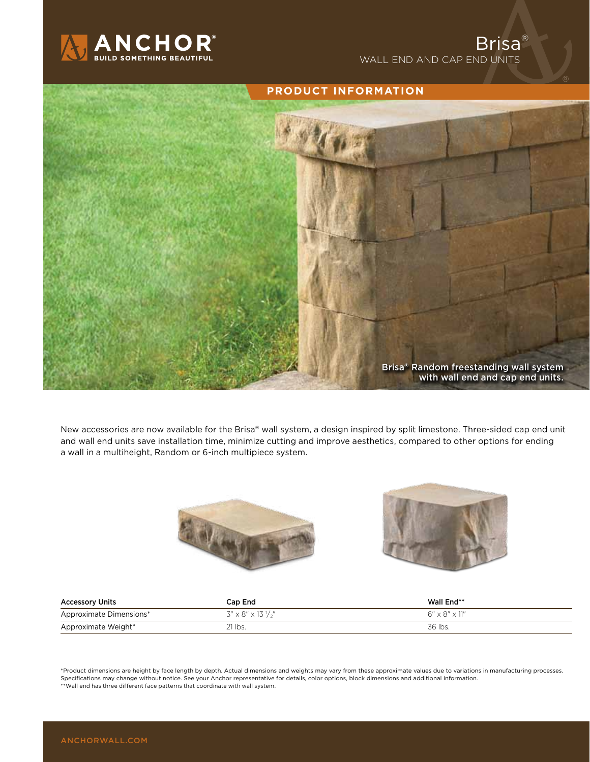



New accessories are now available for the Brisa® wall system, a design inspired by split limestone. Three-sided cap end unit and wall end units save installation time, minimize cutting and improve aesthetics, compared to other options for ending a wall in a multiheight, Random or 6-inch multipiece system.





| <b>Accessory Units</b>  | Cap End                     | Wall End**                   |
|-------------------------|-----------------------------|------------------------------|
| Approximate Dimensions* | $3'' \times 8'' \times 13'$ | $6'' \times 8'' \times 11''$ |
| Approximate Weight*     | $21$ lbs.                   | 36 lbs.                      |

\*Product dimensions are height by face length by depth. Actual dimensions and weights may vary from these approximate values due to variations in manufacturing processes. Specifications may change without notice. See your Anchor representative for details, color options, block dimensions and additional information. \*\*Wall end has three different face patterns that coordinate with wall system.